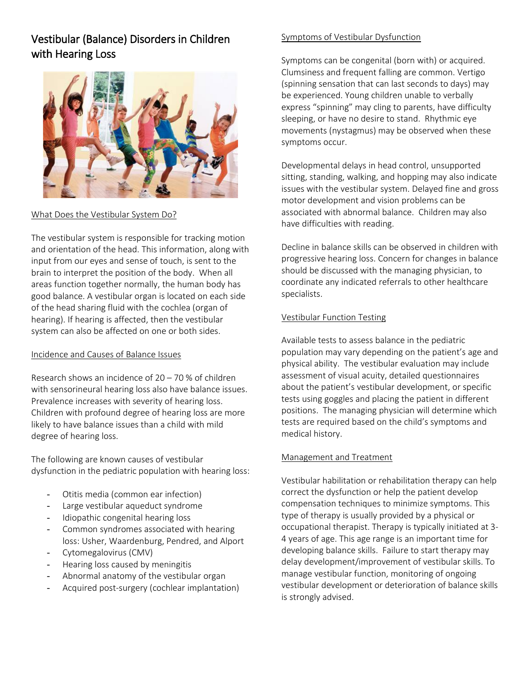# Vestibular (Balance) Disorders in Children with Hearing Loss



## What Does the Vestibular System Do?

The vestibular system is responsible for tracking motion and orientation of the head. This information, along with input from our eyes and sense of touch, is sent to the brain to interpret the position of the body. When all areas function together normally, the human body has good balance. A vestibular organ is located on each side of the head sharing fluid with the cochlea (organ of hearing). If hearing is affected, then the vestibular system can also be affected on one or both sides.

## Incidence and Causes of Balance Issues

Research shows an incidence of 20 – 70 % of children with sensorineural hearing loss also have balance issues. Prevalence increases with severity of hearing loss. Children with profound degree of hearing loss are more likely to have balance issues than a child with mild degree of hearing loss.

The following are known causes of vestibular dysfunction in the pediatric population with hearing loss:

- Otitis media (common ear infection)
- Large vestibular aqueduct syndrome
- Idiopathic congenital hearing loss
- Common syndromes associated with hearing loss: Usher, Waardenburg, Pendred, and Alport
- Cytomegalovirus (CMV)
- Hearing loss caused by meningitis
- Abnormal anatomy of the vestibular organ
- Acquired post-surgery (cochlear implantation)

#### Symptoms of Vestibular Dysfunction

Symptoms can be congenital (born with) or acquired. Clumsiness and frequent falling are common. Vertigo (spinning sensation that can last seconds to days) may be experienced. Young children unable to verbally express "spinning" may cling to parents, have difficulty sleeping, or have no desire to stand. Rhythmic eye movements (nystagmus) may be observed when these symptoms occur.

Developmental delays in head control, unsupported sitting, standing, walking, and hopping may also indicate issues with the vestibular system. Delayed fine and gross motor development and vision problems can be associated with abnormal balance. Children may also have difficulties with reading.

Decline in balance skills can be observed in children with progressive hearing loss. Concern for changes in balance should be discussed with the managing physician, to coordinate any indicated referrals to other healthcare specialists.

## Vestibular Function Testing

Available tests to assess balance in the pediatric population may vary depending on the patient's age and physical ability. The vestibular evaluation may include assessment of visual acuity, detailed questionnaires about the patient's vestibular development, or specific tests using goggles and placing the patient in different positions. The managing physician will determine which tests are required based on the child's symptoms and medical history.

## Management and Treatment

Vestibular habilitation or rehabilitation therapy can help correct the dysfunction or help the patient develop compensation techniques to minimize symptoms. This type of therapy is usually provided by a physical or occupational therapist. Therapy is typically initiated at 3- 4 years of age. This age range is an important time for developing balance skills. Failure to start therapy may delay development/improvement of vestibular skills. To manage vestibular function, monitoring of ongoing vestibular development or deterioration of balance skills is strongly advised.